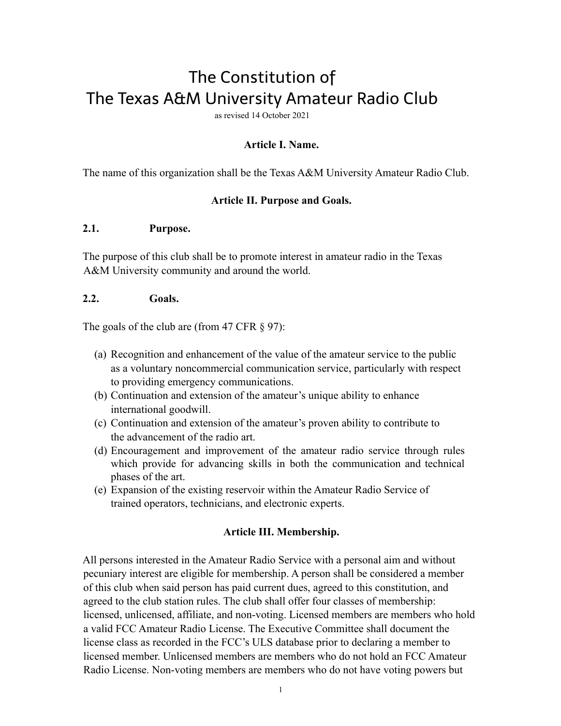# The Constitution of The Texas A&M University Amateur Radio Club

as revised 14 October 2021

## **Article I. Name.**

The name of this organization shall be the Texas A&M University Amateur Radio Club.

#### **Article II. Purpose and Goals.**

#### **2.1. Purpose.**

The purpose of this club shall be to promote interest in amateur radio in the Texas A&M University community and around the world.

#### **2.2. Goals.**

The goals of the club are (from 47 CFR § 97):

- (a) Recognition and enhancement of the value of the amateur service to the public as a voluntary noncommercial communication service, particularly with respect to providing emergency communications.
- (b) Continuation and extension of the amateur's unique ability to enhance international goodwill.
- (c) Continuation and extension of the amateur's proven ability to contribute to the advancement of the radio art.
- (d) Encouragement and improvement of the amateur radio service through rules which provide for advancing skills in both the communication and technical phases of the art.
- (e) Expansion of the existing reservoir within the Amateur Radio Service of trained operators, technicians, and electronic experts.

## **Article III. Membership.**

All persons interested in the Amateur Radio Service with a personal aim and without pecuniary interest are eligible for membership. A person shall be considered a member of this club when said person has paid current dues, agreed to this constitution, and agreed to the club station rules. The club shall offer four classes of membership: licensed, unlicensed, affiliate, and non-voting. Licensed members are members who hold a valid FCC Amateur Radio License. The Executive Committee shall document the license class as recorded in the FCC's ULS database prior to declaring a member to licensed member. Unlicensed members are members who do not hold an FCC Amateur Radio License. Non-voting members are members who do not have voting powers but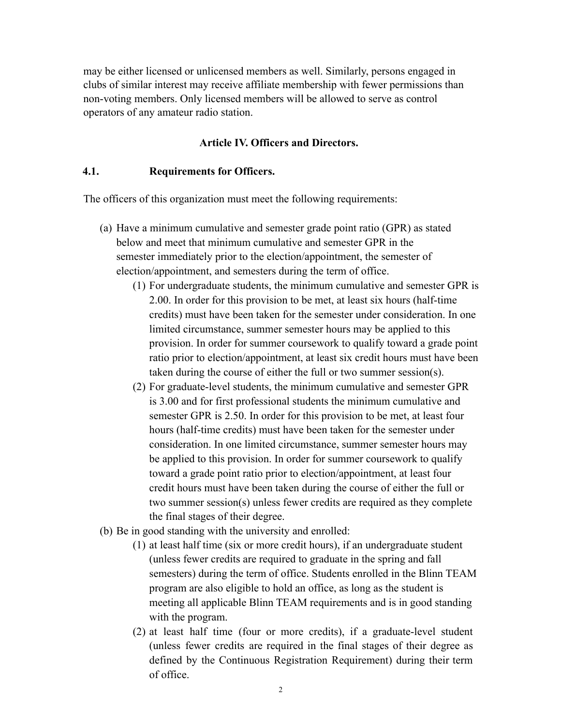may be either licensed or unlicensed members as well. Similarly, persons engaged in clubs of similar interest may receive affiliate membership with fewer permissions than non-voting members. Only licensed members will be allowed to serve as control operators of any amateur radio station.

#### **Article IV. Officers and Directors.**

#### **4.1. Requirements for Officers.**

The officers of this organization must meet the following requirements:

- (a) Have a minimum cumulative and semester grade point ratio (GPR) as stated below and meet that minimum cumulative and semester GPR in the semester immediately prior to the election/appointment, the semester of election/appointment, and semesters during the term of office.
	- (1) For undergraduate students, the minimum cumulative and semester GPR is 2.00. In order for this provision to be met, at least six hours (half-time credits) must have been taken for the semester under consideration. In one limited circumstance, summer semester hours may be applied to this provision. In order for summer coursework to qualify toward a grade point ratio prior to election/appointment, at least six credit hours must have been taken during the course of either the full or two summer session(s).
	- (2) For graduate-level students, the minimum cumulative and semester GPR is 3.00 and for first professional students the minimum cumulative and semester GPR is 2.50. In order for this provision to be met, at least four hours (half-time credits) must have been taken for the semester under consideration. In one limited circumstance, summer semester hours may be applied to this provision. In order for summer coursework to qualify toward a grade point ratio prior to election/appointment, at least four credit hours must have been taken during the course of either the full or two summer session(s) unless fewer credits are required as they complete the final stages of their degree.
- (b) Be in good standing with the university and enrolled:
	- (1) at least half time (six or more credit hours), if an undergraduate student (unless fewer credits are required to graduate in the spring and fall semesters) during the term of office. Students enrolled in the Blinn TEAM program are also eligible to hold an office, as long as the student is meeting all applicable Blinn TEAM requirements and is in good standing with the program.
	- (2) at least half time (four or more credits), if a graduate-level student (unless fewer credits are required in the final stages of their degree as defined by the Continuous Registration Requirement) during their term of office.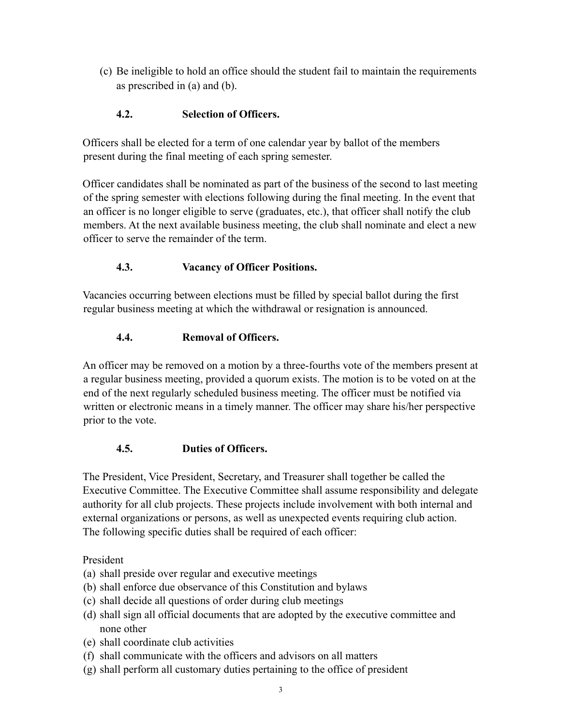(c) Be ineligible to hold an office should the student fail to maintain the requirements as prescribed in (a) and (b).

## **4.2. Selection of Officers.**

Officers shall be elected for a term of one calendar year by ballot of the members present during the final meeting of each spring semester.

Officer candidates shall be nominated as part of the business of the second to last meeting of the spring semester with elections following during the final meeting. In the event that an officer is no longer eligible to serve (graduates, etc.), that officer shall notify the club members. At the next available business meeting, the club shall nominate and elect a new officer to serve the remainder of the term.

## **4.3. Vacancy of Officer Positions.**

Vacancies occurring between elections must be filled by special ballot during the first regular business meeting at which the withdrawal or resignation is announced.

## **4.4. Removal of Officers.**

An officer may be removed on a motion by a three-fourths vote of the members present at a regular business meeting, provided a quorum exists. The motion is to be voted on at the end of the next regularly scheduled business meeting. The officer must be notified via written or electronic means in a timely manner. The officer may share his/her perspective prior to the vote.

## **4.5. Duties of Officers.**

The President, Vice President, Secretary, and Treasurer shall together be called the Executive Committee. The Executive Committee shall assume responsibility and delegate authority for all club projects. These projects include involvement with both internal and external organizations or persons, as well as unexpected events requiring club action. The following specific duties shall be required of each officer:

President

- (a) shall preside over regular and executive meetings
- (b) shall enforce due observance of this Constitution and bylaws
- (c) shall decide all questions of order during club meetings
- (d) shall sign all official documents that are adopted by the executive committee and none other
- (e) shall coordinate club activities
- (f) shall communicate with the officers and advisors on all matters
- (g) shall perform all customary duties pertaining to the office of president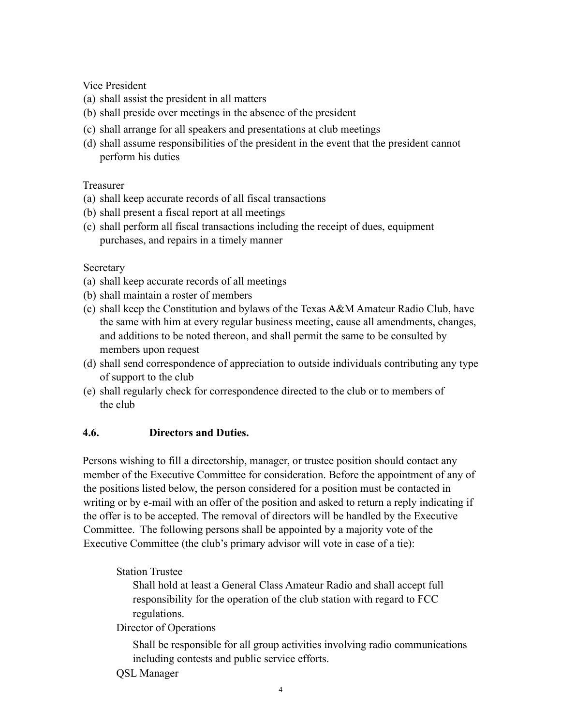Vice President

- (a) shall assist the president in all matters
- (b) shall preside over meetings in the absence of the president
- (c) shall arrange for all speakers and presentations at club meetings
- (d) shall assume responsibilities of the president in the event that the president cannot perform his duties

## Treasurer

- (a) shall keep accurate records of all fiscal transactions
- (b) shall present a fiscal report at all meetings
- (c) shall perform all fiscal transactions including the receipt of dues, equipment purchases, and repairs in a timely manner

## **Secretary**

- (a) shall keep accurate records of all meetings
- (b) shall maintain a roster of members
- (c) shall keep the Constitution and bylaws of the Texas A&M Amateur Radio Club, have the same with him at every regular business meeting, cause all amendments, changes, and additions to be noted thereon, and shall permit the same to be consulted by members upon request
- (d) shall send correspondence of appreciation to outside individuals contributing any type of support to the club
- (e) shall regularly check for correspondence directed to the club or to members of the club

## **4.6. Directors and Duties.**

Persons wishing to fill a directorship, manager, or trustee position should contact any member of the Executive Committee for consideration. Before the appointment of any of the positions listed below, the person considered for a position must be contacted in writing or by e-mail with an offer of the position and asked to return a reply indicating if the offer is to be accepted. The removal of directors will be handled by the Executive Committee. The following persons shall be appointed by a majority vote of the Executive Committee (the club's primary advisor will vote in case of a tie):

## Station Trustee

Shall hold at least a General Class Amateur Radio and shall accept full responsibility for the operation of the club station with regard to FCC regulations.

## Director of Operations

Shall be responsible for all group activities involving radio communications including contests and public service efforts.

#### QSL Manager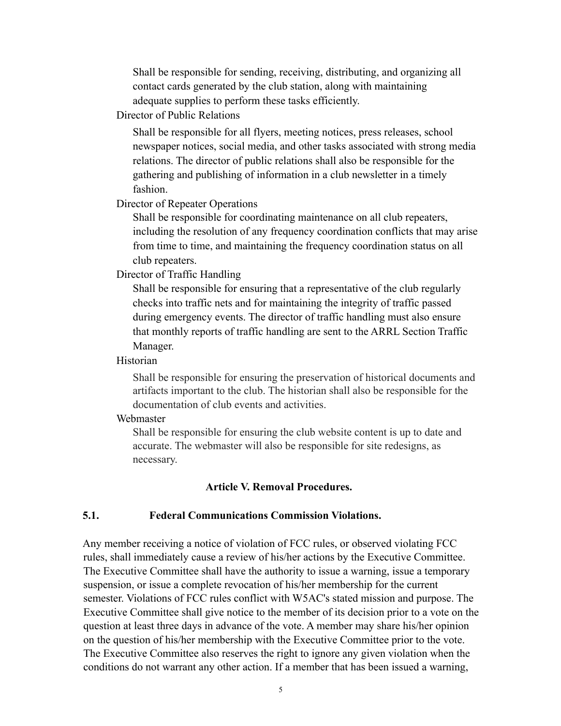Shall be responsible for sending, receiving, distributing, and organizing all contact cards generated by the club station, along with maintaining adequate supplies to perform these tasks efficiently.

Director of Public Relations

Shall be responsible for all flyers, meeting notices, press releases, school newspaper notices, social media, and other tasks associated with strong media relations. The director of public relations shall also be responsible for the gathering and publishing of information in a club newsletter in a timely fashion.

Director of Repeater Operations

Shall be responsible for coordinating maintenance on all club repeaters, including the resolution of any frequency coordination conflicts that may arise from time to time, and maintaining the frequency coordination status on all club repeaters.

Director of Traffic Handling

Shall be responsible for ensuring that a representative of the club regularly checks into traffic nets and for maintaining the integrity of traffic passed during emergency events. The director of traffic handling must also ensure that monthly reports of traffic handling are sent to the ARRL Section Traffic Manager.

Historian

Shall be responsible for ensuring the preservation of historical documents and artifacts important to the club. The historian shall also be responsible for the documentation of club events and activities.

#### Webmaster

Shall be responsible for ensuring the club website content is up to date and accurate. The webmaster will also be responsible for site redesigns, as necessary.

#### **Article V. Removal Procedures.**

#### **5.1. Federal Communications Commission Violations.**

Any member receiving a notice of violation of FCC rules, or observed violating FCC rules, shall immediately cause a review of his/her actions by the Executive Committee. The Executive Committee shall have the authority to issue a warning, issue a temporary suspension, or issue a complete revocation of his/her membership for the current semester. Violations of FCC rules conflict with W5AC's stated mission and purpose. The Executive Committee shall give notice to the member of its decision prior to a vote on the question at least three days in advance of the vote. A member may share his/her opinion on the question of his/her membership with the Executive Committee prior to the vote. The Executive Committee also reserves the right to ignore any given violation when the conditions do not warrant any other action. If a member that has been issued a warning,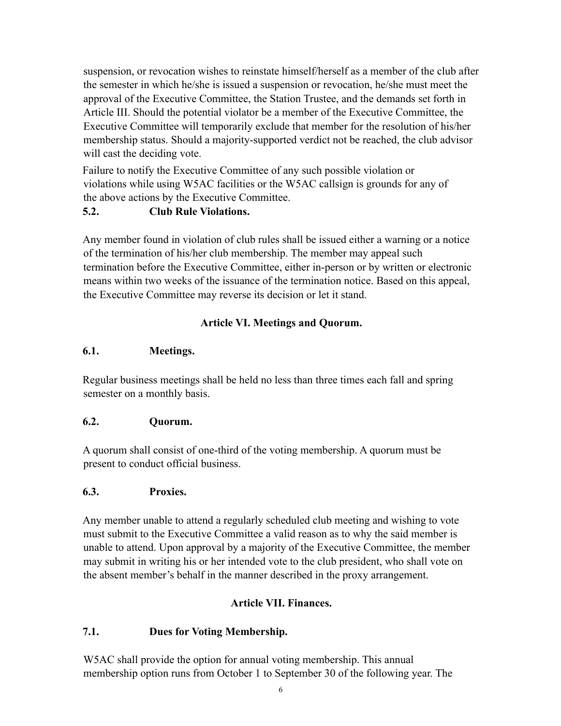suspension, or revocation wishes to reinstate himself/herself as a member of the club after the semester in which he/she is issued a suspension or revocation, he/she must meet the approval of the Executive Committee, the Station Trustee, and the demands set forth in Article III. Should the potential violator be a member of the Executive Committee, the Executive Committee will temporarily exclude that member for the resolution of his/her membership status. Should a majority-supported verdict not be reached, the club advisor will cast the deciding vote.

Failure to notify the Executive Committee of any such possible violation or violations while using W5AC facilities or the W5AC callsign is grounds for any of the above actions by the Executive Committee.

## **5.2. Club Rule Violations.**

Any member found in violation of club rules shall be issued either a warning or a notice of the termination of his/her club membership. The member may appeal such termination before the Executive Committee, either in-person or by written or electronic means within two weeks of the issuance of the termination notice. Based on this appeal, the Executive Committee may reverse its decision or let it stand.

## **Article VI. Meetings and Quorum.**

## **6.1. Meetings.**

Regular business meetings shall be held no less than three times each fall and spring semester on a monthly basis.

## **6.2. Quorum.**

A quorum shall consist of one-third of the voting membership. A quorum must be present to conduct official business.

## **6.3. Proxies.**

Any member unable to attend a regularly scheduled club meeting and wishing to vote must submit to the Executive Committee a valid reason as to why the said member is unable to attend. Upon approval by a majority of the Executive Committee, the member may submit in writing his or her intended vote to the club president, who shall vote on the absent member's behalf in the manner described in the proxy arrangement.

## **Article VII. Finances.**

## **7.1. Dues for Voting Membership.**

W5AC shall provide the option for annual voting membership. This annual membership option runs from October 1 to September 30 of the following year. The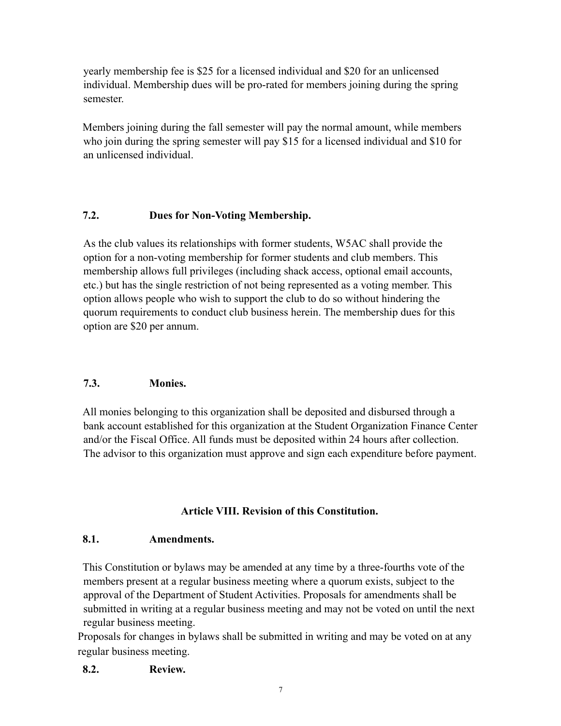yearly membership fee is \$25 for a licensed individual and \$20 for an unlicensed individual. Membership dues will be pro-rated for members joining during the spring semester.

Members joining during the fall semester will pay the normal amount, while members who join during the spring semester will pay \$15 for a licensed individual and \$10 for an unlicensed individual.

## **7.2. Dues for Non-Voting Membership.**

As the club values its relationships with former students, W5AC shall provide the option for a non-voting membership for former students and club members. This membership allows full privileges (including shack access, optional email accounts, etc.) but has the single restriction of not being represented as a voting member. This option allows people who wish to support the club to do so without hindering the quorum requirements to conduct club business herein. The membership dues for this option are \$20 per annum.

## **7.3. Monies.**

All monies belonging to this organization shall be deposited and disbursed through a bank account established for this organization at the Student Organization Finance Center and/or the Fiscal Office. All funds must be deposited within 24 hours after collection. The advisor to this organization must approve and sign each expenditure before payment.

## **Article VIII. Revision of this Constitution.**

## **8.1. Amendments.**

This Constitution or bylaws may be amended at any time by a three-fourths vote of the members present at a regular business meeting where a quorum exists, subject to the approval of the Department of Student Activities. Proposals for amendments shall be submitted in writing at a regular business meeting and may not be voted on until the next regular business meeting.

Proposals for changes in bylaws shall be submitted in writing and may be voted on at any regular business meeting.

## **8.2. Review.**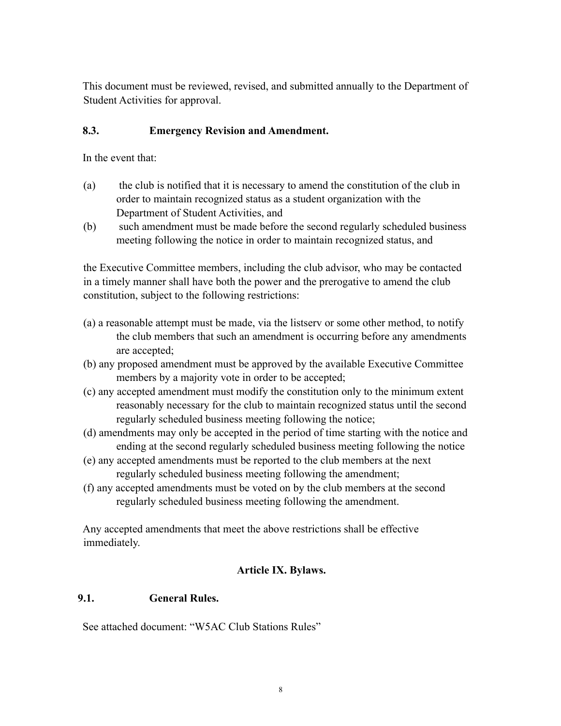This document must be reviewed, revised, and submitted annually to the Department of Student Activities for approval.

## **8.3. Emergency Revision and Amendment.**

In the event that:

- (a) the club is notified that it is necessary to amend the constitution of the club in order to maintain recognized status as a student organization with the Department of Student Activities, and
- (b) such amendment must be made before the second regularly scheduled business meeting following the notice in order to maintain recognized status, and

the Executive Committee members, including the club advisor, who may be contacted in a timely manner shall have both the power and the prerogative to amend the club constitution, subject to the following restrictions:

- (a) a reasonable attempt must be made, via the listserv or some other method, to notify the club members that such an amendment is occurring before any amendments are accepted;
- (b) any proposed amendment must be approved by the available Executive Committee members by a majority vote in order to be accepted;
- (c) any accepted amendment must modify the constitution only to the minimum extent reasonably necessary for the club to maintain recognized status until the second regularly scheduled business meeting following the notice;
- (d) amendments may only be accepted in the period of time starting with the notice and ending at the second regularly scheduled business meeting following the notice
- (e) any accepted amendments must be reported to the club members at the next regularly scheduled business meeting following the amendment;
- (f) any accepted amendments must be voted on by the club members at the second regularly scheduled business meeting following the amendment.

Any accepted amendments that meet the above restrictions shall be effective immediately.

## **Article IX. Bylaws.**

## **9.1. General Rules.**

See attached document: "W5AC Club Stations Rules"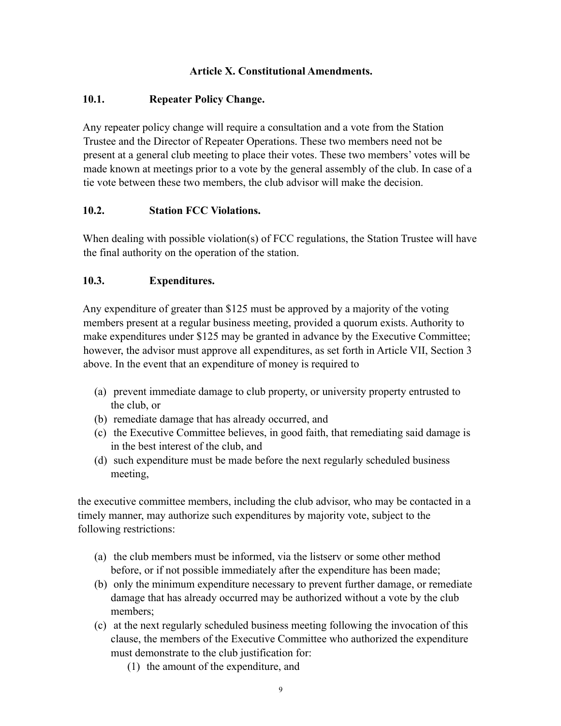## **Article X. Constitutional Amendments.**

## **10.1. Repeater Policy Change.**

Any repeater policy change will require a consultation and a vote from the Station Trustee and the Director of Repeater Operations. These two members need not be present at a general club meeting to place their votes. These two members' votes will be made known at meetings prior to a vote by the general assembly of the club. In case of a tie vote between these two members, the club advisor will make the decision.

## **10.2. Station FCC Violations.**

When dealing with possible violation(s) of FCC regulations, the Station Trustee will have the final authority on the operation of the station.

## **10.3. Expenditures.**

Any expenditure of greater than \$125 must be approved by a majority of the voting members present at a regular business meeting, provided a quorum exists. Authority to make expenditures under \$125 may be granted in advance by the Executive Committee; however, the advisor must approve all expenditures, as set forth in Article VII, Section 3 above. In the event that an expenditure of money is required to

- (a) prevent immediate damage to club property, or university property entrusted to the club, or
- (b) remediate damage that has already occurred, and
- (c) the Executive Committee believes, in good faith, that remediating said damage is in the best interest of the club, and
- (d) such expenditure must be made before the next regularly scheduled business meeting,

the executive committee members, including the club advisor, who may be contacted in a timely manner, may authorize such expenditures by majority vote, subject to the following restrictions:

- (a) the club members must be informed, via the listserv or some other method before, or if not possible immediately after the expenditure has been made;
- (b) only the minimum expenditure necessary to prevent further damage, or remediate damage that has already occurred may be authorized without a vote by the club members;
- (c) at the next regularly scheduled business meeting following the invocation of this clause, the members of the Executive Committee who authorized the expenditure must demonstrate to the club justification for:
	- (1) the amount of the expenditure, and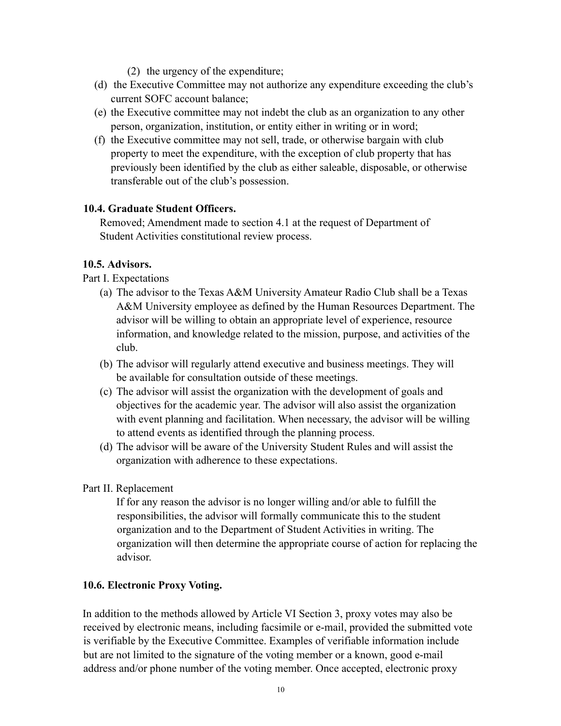- (2) the urgency of the expenditure;
- (d) the Executive Committee may not authorize any expenditure exceeding the club's current SOFC account balance;
- (e) the Executive committee may not indebt the club as an organization to any other person, organization, institution, or entity either in writing or in word;
- (f) the Executive committee may not sell, trade, or otherwise bargain with club property to meet the expenditure, with the exception of club property that has previously been identified by the club as either saleable, disposable, or otherwise transferable out of the club's possession.

#### **10.4. Graduate Student Officers.**

Removed; Amendment made to section 4.1 at the request of Department of Student Activities constitutional review process.

#### **10.5. Advisors.**

Part I. Expectations

- (a) The advisor to the Texas A&M University Amateur Radio Club shall be a Texas A&M University employee as defined by the Human Resources Department. The advisor will be willing to obtain an appropriate level of experience, resource information, and knowledge related to the mission, purpose, and activities of the club.
- (b) The advisor will regularly attend executive and business meetings. They will be available for consultation outside of these meetings.
- (c) The advisor will assist the organization with the development of goals and objectives for the academic year. The advisor will also assist the organization with event planning and facilitation. When necessary, the advisor will be willing to attend events as identified through the planning process.
- (d) The advisor will be aware of the University Student Rules and will assist the organization with adherence to these expectations.

## Part II. Replacement

If for any reason the advisor is no longer willing and/or able to fulfill the responsibilities, the advisor will formally communicate this to the student organization and to the Department of Student Activities in writing. The organization will then determine the appropriate course of action for replacing the advisor.

## **10.6. Electronic Proxy Voting.**

In addition to the methods allowed by Article VI Section 3, proxy votes may also be received by electronic means, including facsimile or e-mail, provided the submitted vote is verifiable by the Executive Committee. Examples of verifiable information include but are not limited to the signature of the voting member or a known, good e-mail address and/or phone number of the voting member. Once accepted, electronic proxy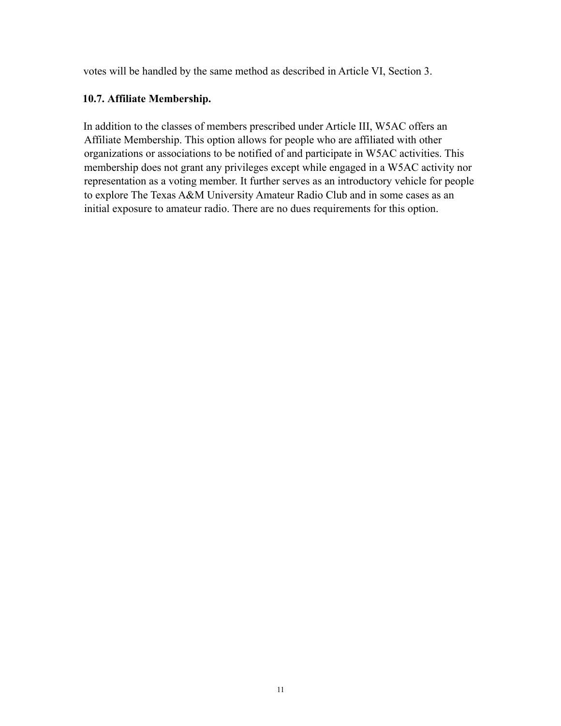votes will be handled by the same method as described in Article VI, Section 3.

## **10.7. Affiliate Membership.**

In addition to the classes of members prescribed under Article III, W5AC offers an Affiliate Membership. This option allows for people who are affiliated with other organizations or associations to be notified of and participate in W5AC activities. This membership does not grant any privileges except while engaged in a W5AC activity nor representation as a voting member. It further serves as an introductory vehicle for people to explore The Texas A&M University Amateur Radio Club and in some cases as an initial exposure to amateur radio. There are no dues requirements for this option.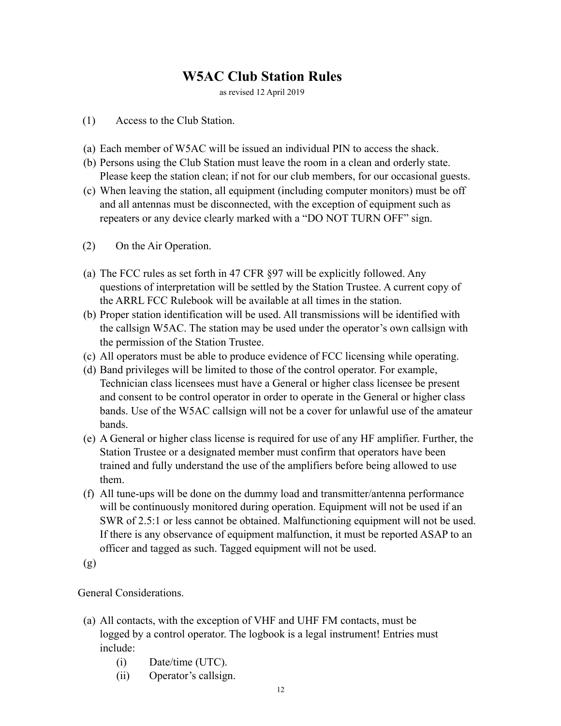## **W5AC Club Station Rules**

as revised 12 April 2019

#### (1) Access to the Club Station.

- (a) Each member of W5AC will be issued an individual PIN to access the shack.
- (b) Persons using the Club Station must leave the room in a clean and orderly state. Please keep the station clean; if not for our club members, for our occasional guests.
- (c) When leaving the station, all equipment (including computer monitors) must be off and all antennas must be disconnected, with the exception of equipment such as repeaters or any device clearly marked with a "DO NOT TURN OFF" sign.
- (2) On the Air Operation.
- (a) The FCC rules as set forth in 47 CFR §97 will be explicitly followed. Any questions of interpretation will be settled by the Station Trustee. A current copy of the ARRL FCC Rulebook will be available at all times in the station.
- (b) Proper station identification will be used. All transmissions will be identified with the callsign W5AC. The station may be used under the operator's own callsign with the permission of the Station Trustee.
- (c) All operators must be able to produce evidence of FCC licensing while operating.
- (d) Band privileges will be limited to those of the control operator. For example, Technician class licensees must have a General or higher class licensee be present and consent to be control operator in order to operate in the General or higher class bands. Use of the W5AC callsign will not be a cover for unlawful use of the amateur bands.
- (e) A General or higher class license is required for use of any HF amplifier. Further, the Station Trustee or a designated member must confirm that operators have been trained and fully understand the use of the amplifiers before being allowed to use them.
- (f) All tune-ups will be done on the dummy load and transmitter/antenna performance will be continuously monitored during operation. Equipment will not be used if an SWR of 2.5:1 or less cannot be obtained. Malfunctioning equipment will not be used. If there is any observance of equipment malfunction, it must be reported ASAP to an officer and tagged as such. Tagged equipment will not be used.

(g)

General Considerations.

- (a) All contacts, with the exception of VHF and UHF FM contacts, must be logged by a control operator. The logbook is a legal instrument! Entries must include:
	- (i) Date/time (UTC).
	- (ii) Operator's callsign.